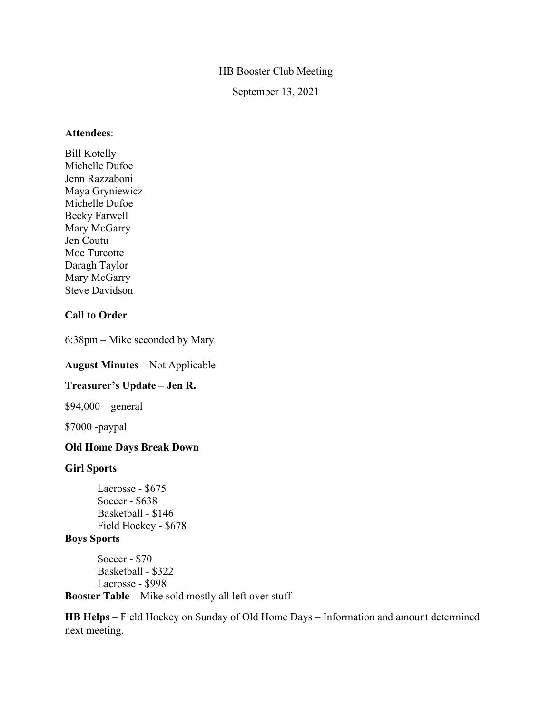## HB Booster Club Meeting

September 13, 2021

### **Attendees**:

Bill Kotelly Michelle Dufoe Jenn Razzaboni Maya Gryniewicz Michelle Dufoe Becky Farwell Mary McGarry Jen Coutu Moe Turcotte Daragh Taylor Mary McGarry Steve Davidson

## **Call to Order**

6:38pm – Mike seconded by Mary

### **August Minutes** – Not Applicable

### **Treasurer's Update – Jen R.**

 $$94,000 - general$ 

\$7000 -paypal

## **Old Home Days Break Down**

### **Girl Sports**

Lacrosse - \$675 Soccer - \$638 Basketball - \$146 Field Hockey - \$678

## **Boys Sports**

Soccer - \$70 Basketball - \$322 Lacrosse - \$998 **Booster Table –** Mike sold mostly all left over stuff

**HB Helps** – Field Hockey on Sunday of Old Home Days – Information and amount determined next meeting.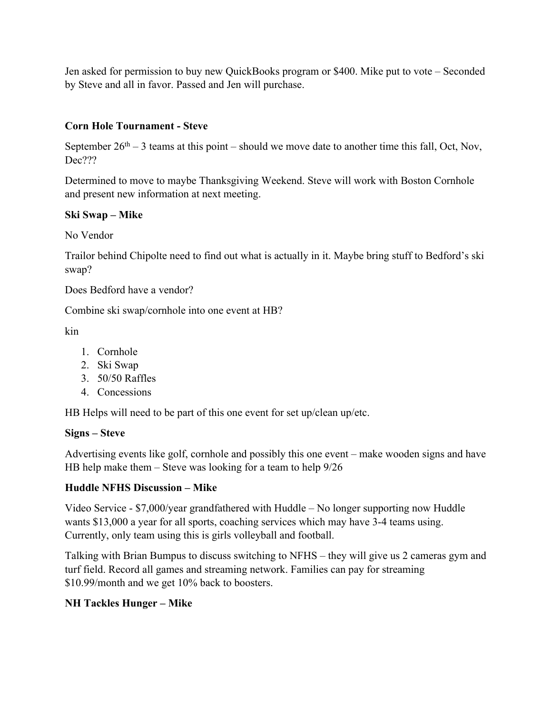Jen asked for permission to buy new QuickBooks program or \$400. Mike put to vote – Seconded by Steve and all in favor. Passed and Jen will purchase.

# **Corn Hole Tournament - Steve**

September  $26<sup>th</sup> - 3$  teams at this point – should we move date to another time this fall, Oct, Nov, Dec???

Determined to move to maybe Thanksgiving Weekend. Steve will work with Boston Cornhole and present new information at next meeting.

## **Ski Swap – Mike**

No Vendor

Trailor behind Chipolte need to find out what is actually in it. Maybe bring stuff to Bedford's ski swap?

Does Bedford have a vendor?

Combine ski swap/cornhole into one event at HB?

kin

- 1. Cornhole
- 2. Ski Swap
- 3. 50/50 Raffles
- 4. Concessions

HB Helps will need to be part of this one event for set up/clean up/etc.

## **Signs – Steve**

Advertising events like golf, cornhole and possibly this one event – make wooden signs and have HB help make them – Steve was looking for a team to help 9/26

# **Huddle NFHS Discussion – Mike**

Video Service - \$7,000/year grandfathered with Huddle – No longer supporting now Huddle wants \$13,000 a year for all sports, coaching services which may have 3-4 teams using. Currently, only team using this is girls volleyball and football.

Talking with Brian Bumpus to discuss switching to NFHS – they will give us 2 cameras gym and turf field. Record all games and streaming network. Families can pay for streaming \$10.99/month and we get 10% back to boosters.

# **NH Tackles Hunger – Mike**